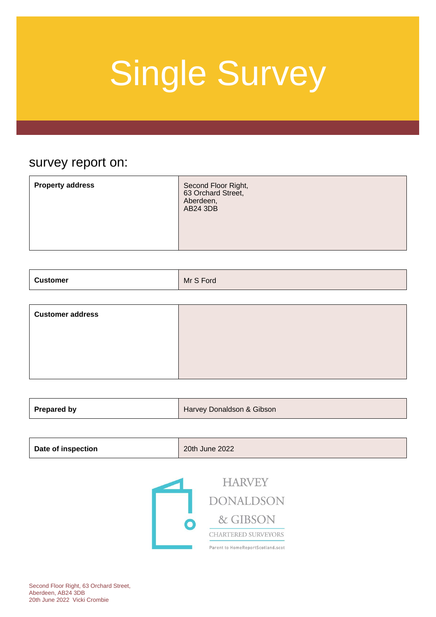### survey report on:

| <b>Property address</b><br>Second Floor Right,<br>63 Orchard Street,<br>Aberdeen,<br>AB24 3DB |  |
|-----------------------------------------------------------------------------------------------|--|
|-----------------------------------------------------------------------------------------------|--|

| <b>Customer</b><br>. | Mr S Ford |
|----------------------|-----------|
|----------------------|-----------|

| <b>Customer address</b> |  |
|-------------------------|--|
|                         |  |
|                         |  |
|                         |  |

| <b>Prepared by</b><br>Harvey Donaldson & Gibson |
|-------------------------------------------------|
|-------------------------------------------------|

| <b>Date of inspection</b> | 20th June 2022 |
|---------------------------|----------------|
|---------------------------|----------------|



Second Floor Right, 63 Orchard Street, Aberdeen, AB24 3DB 20th June 2022 Vicki Crombie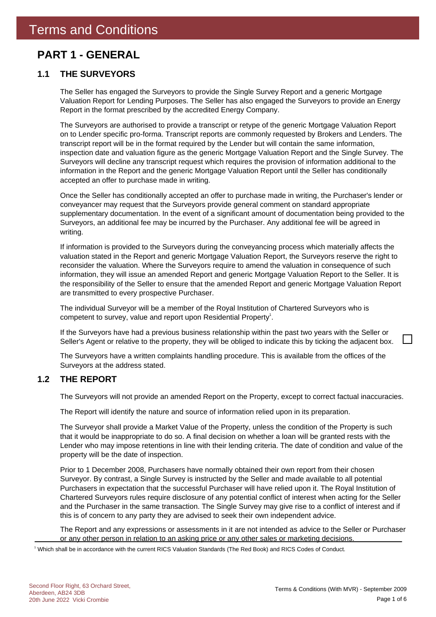### **PART 1 - GENERAL**

### **1.1 THE SURVEYORS**

The Seller has engaged the Surveyors to provide the Single Survey Report and a generic Mortgage Valuation Report for Lending Purposes. The Seller has also engaged the Surveyors to provide an Energy Report in the format prescribed by the accredited Energy Company.

The Surveyors are authorised to provide a transcript or retype of the generic Mortgage Valuation Report on to Lender specific pro-forma. Transcript reports are commonly requested by Brokers and Lenders. The transcript report will be in the format required by the Lender but will contain the same information, inspection date and valuation figure as the generic Mortgage Valuation Report and the Single Survey. The Surveyors will decline any transcript request which requires the provision of information additional to the information in the Report and the generic Mortgage Valuation Report until the Seller has conditionally accepted an offer to purchase made in writing.

Once the Seller has conditionally accepted an offer to purchase made in writing, the Purchaser's lender or conveyancer may request that the Surveyors provide general comment on standard appropriate supplementary documentation. In the event of a significant amount of documentation being provided to the Surveyors, an additional fee may be incurred by the Purchaser. Any additional fee will be agreed in writing.

If information is provided to the Surveyors during the conveyancing process which materially affects the valuation stated in the Report and generic Mortgage Valuation Report, the Surveyors reserve the right to reconsider the valuation. Where the Surveyors require to amend the valuation in consequence of such information, they will issue an amended Report and generic Mortgage Valuation Report to the Seller. It is the responsibility of the Seller to ensure that the amended Report and generic Mortgage Valuation Report are transmitted to every prospective Purchaser.

The individual Surveyor will be a member of the Royal Institution of Chartered Surveyors who is competent to survey, value and report upon Residential Property<sup>1</sup>.

If the Surveyors have had a previous business relationship within the past two years with the Seller or Seller's Agent or relative to the property, they will be obliged to indicate this by ticking the adjacent box.

The Surveyors have a written complaints handling procedure. This is available from the offices of the Surveyors at the address stated.

### **1.2 THE REPORT**

The Surveyors will not provide an amended Report on the Property, except to correct factual inaccuracies.

The Report will identify the nature and source of information relied upon in its preparation.

The Surveyor shall provide a Market Value of the Property, unless the condition of the Property is such that it would be inappropriate to do so. A final decision on whether a loan will be granted rests with the Lender who may impose retentions in line with their lending criteria. The date of condition and value of the property will be the date of inspection.

Prior to 1 December 2008, Purchasers have normally obtained their own report from their chosen Surveyor. By contrast, a Single Survey is instructed by the Seller and made available to all potential Purchasers in expectation that the successful Purchaser will have relied upon it. The Royal Institution of Chartered Surveyors rules require disclosure of any potential conflict of interest when acting for the Seller and the Purchaser in the same transaction. The Single Survey may give rise to a conflict of interest and if this is of concern to any party they are advised to seek their own independent advice.

The Report and any expressions or assessments in it are not intended as advice to the Seller or Purchaser or any other person in relation to an asking price or any other sales or marketing decisions.

1 Which shall be in accordance with the current RICS Valuation Standards (The Red Book) and RICS Codes of Conduct.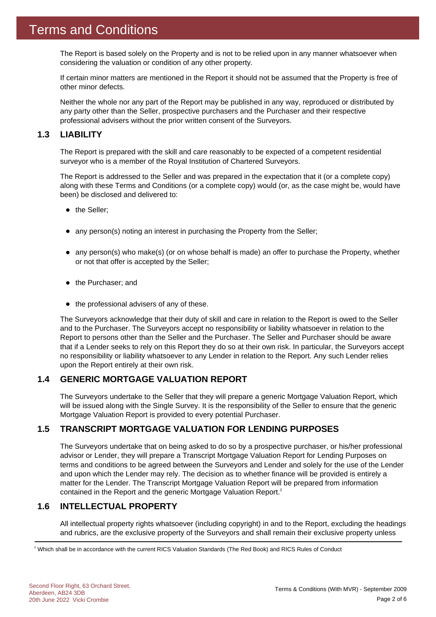The Report is based solely on the Property and is not to be relied upon in any manner whatsoever when considering the valuation or condition of any other property.

If certain minor matters are mentioned in the Report it should not be assumed that the Property is free of other minor defects.

Neither the whole nor any part of the Report may be published in any way, reproduced or distributed by any party other than the Seller, prospective purchasers and the Purchaser and their respective professional advisers without the prior written consent of the Surveyors.

### **1.3 LIABILITY**

The Report is prepared with the skill and care reasonably to be expected of a competent residential surveyor who is a member of the Royal Institution of Chartered Surveyors.

The Report is addressed to the Seller and was prepared in the expectation that it (or a complete copy) along with these Terms and Conditions (or a complete copy) would (or, as the case might be, would have been) be disclosed and delivered to:

- the Seller;
- any person(s) noting an interest in purchasing the Property from the Seller;
- any person(s) who make(s) (or on whose behalf is made) an offer to purchase the Property, whether or not that offer is accepted by the Seller;
- the Purchaser; and
- $\bullet$  the professional advisers of any of these.

The Surveyors acknowledge that their duty of skill and care in relation to the Report is owed to the Seller and to the Purchaser. The Surveyors accept no responsibility or liability whatsoever in relation to the Report to persons other than the Seller and the Purchaser. The Seller and Purchaser should be aware that if a Lender seeks to rely on this Report they do so at their own risk. In particular, the Surveyors accept no responsibility or liability whatsoever to any Lender in relation to the Report. Any such Lender relies upon the Report entirely at their own risk.

### **1.4 GENERIC MORTGAGE VALUATION REPORT**

The Surveyors undertake to the Seller that they will prepare a generic Mortgage Valuation Report, which will be issued along with the Single Survey. It is the responsibility of the Seller to ensure that the generic Mortgage Valuation Report is provided to every potential Purchaser.

### **1.5 TRANSCRIPT MORTGAGE VALUATION FOR LENDING PURPOSES**

The Surveyors undertake that on being asked to do so by a prospective purchaser, or his/her professional advisor or Lender, they will prepare a Transcript Mortgage Valuation Report for Lending Purposes on terms and conditions to be agreed between the Surveyors and Lender and solely for the use of the Lender and upon which the Lender may rely. The decision as to whether finance will be provided is entirely a matter for the Lender. The Transcript Mortgage Valuation Report will be prepared from information contained in the Report and the generic Mortgage Valuation Report.<sup>2</sup>

### **1.6 INTELLECTUAL PROPERTY**

All intellectual property rights whatsoever (including copyright) in and to the Report, excluding the headings and rubrics, are the exclusive property of the Surveyors and shall remain their exclusive property unless

 $^2$  Which shall be in accordance with the current RICS Valuation Standards (The Red Book) and RICS Rules of Conduct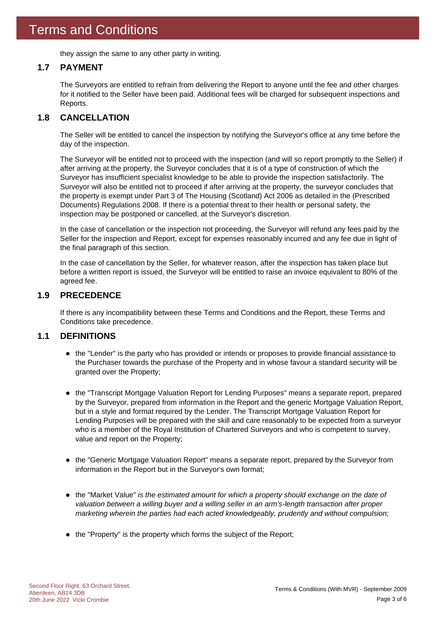they assign the same to any other party in writing.

### **1.7 PAYMENT**

The Surveyors are entitled to refrain from delivering the Report to anyone until the fee and other charges for it notified to the Seller have been paid. Additional fees will be charged for subsequent inspections and Reports.

### **1.8 CANCELLATION**

The Seller will be entitled to cancel the inspection by notifying the Surveyor's office at any time before the day of the inspection.

The Surveyor will be entitled not to proceed with the inspection (and will so report promptly to the Seller) if after arriving at the property, the Surveyor concludes that it is of a type of construction of which the Surveyor has insufficient specialist knowledge to be able to provide the inspection satisfactorily. The Surveyor will also be entitled not to proceed if after arriving at the property, the surveyor concludes that the property is exempt under Part 3 of The Housing (Scotland) Act 2006 as detailed in the (Prescribed Documents) Regulations 2008. If there is a potential threat to their health or personal safety, the inspection may be postponed or cancelled, at the Surveyor's discretion.

In the case of cancellation or the inspection not proceeding, the Surveyor will refund any fees paid by the Seller for the inspection and Report, except for expenses reasonably incurred and any fee due in light of the final paragraph of this section.

In the case of cancellation by the Seller, for whatever reason, after the inspection has taken place but before a written report is issued, the Surveyor will be entitled to raise an invoice equivalent to 80% of the agreed fee.

### **1.9 PRECEDENCE**

If there is any incompatibility between these Terms and Conditions and the Report, these Terms and Conditions take precedence.

### **1.1 DEFINITIONS**

- the "Lender" is the party who has provided or intends or proposes to provide financial assistance to the Purchaser towards the purchase of the Property and in whose favour a standard security will be granted over the Property;
- the "Transcript Mortgage Valuation Report for Lending Purposes" means a separate report, prepared by the Surveyor, prepared from information in the Report and the generic Mortgage Valuation Report, but in a style and format required by the Lender. The Transcript Mortgage Valuation Report for Lending Purposes will be prepared with the skill and care reasonably to be expected from a surveyor who is a member of the Royal Institution of Chartered Surveyors and who is competent to survey, value and report on the Property;
- the "Generic Mortgage Valuation Report" means a separate report, prepared by the Surveyor from information in the Report but in the Surveyor's own format;
- the "Market Value" *is the estimated amount for which a property should exchange on the date of valuation between a willing buyer and a willing seller in an arm's-length transaction after proper marketing wherein the parties had each acted knowledgeably, prudently and without compulsion;*
- the "Property" is the property which forms the subject of the Report;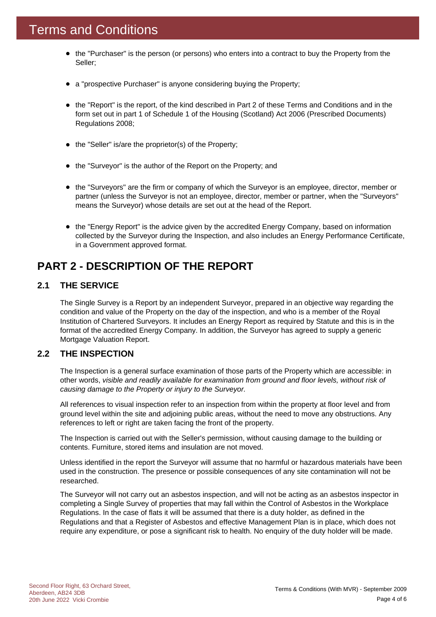- the "Purchaser" is the person (or persons) who enters into a contract to buy the Property from the Seller;
- a "prospective Purchaser" is anyone considering buying the Property;
- the "Report" is the report, of the kind described in Part 2 of these Terms and Conditions and in the form set out in part 1 of Schedule 1 of the Housing (Scotland) Act 2006 (Prescribed Documents) Regulations 2008;
- the "Seller" is/are the proprietor(s) of the Property;
- the "Surveyor" is the author of the Report on the Property; and
- the "Surveyors" are the firm or company of which the Surveyor is an employee, director, member or partner (unless the Surveyor is not an employee, director, member or partner, when the "Surveyors" means the Surveyor) whose details are set out at the head of the Report.
- the "Energy Report" is the advice given by the accredited Energy Company, based on information collected by the Surveyor during the Inspection, and also includes an Energy Performance Certificate, in a Government approved format.

### **PART 2 - DESCRIPTION OF THE REPORT**

### **2.1 THE SERVICE**

The Single Survey is a Report by an independent Surveyor, prepared in an objective way regarding the condition and value of the Property on the day of the inspection, and who is a member of the Royal Institution of Chartered Surveyors. It includes an Energy Report as required by Statute and this is in the format of the accredited Energy Company. In addition, the Surveyor has agreed to supply a generic Mortgage Valuation Report.

### **2.2 THE INSPECTION**

The Inspection is a general surface examination of those parts of the Property which are accessible: in other words, *visible and readily available for examination from ground and floor levels, without risk of causing damage to the Property or injury to the Surveyor.*

All references to visual inspection refer to an inspection from within the property at floor level and from ground level within the site and adjoining public areas, without the need to move any obstructions. Any references to left or right are taken facing the front of the property.

The Inspection is carried out with the Seller's permission, without causing damage to the building or contents. Furniture, stored items and insulation are not moved.

Unless identified in the report the Surveyor will assume that no harmful or hazardous materials have been used in the construction. The presence or possible consequences of any site contamination will not be researched.

The Surveyor will not carry out an asbestos inspection, and will not be acting as an asbestos inspector in completing a Single Survey of properties that may fall within the Control of Asbestos in the Workplace Regulations. In the case of flats it will be assumed that there is a duty holder, as defined in the Regulations and that a Register of Asbestos and effective Management Plan is in place, which does not require any expenditure, or pose a significant risk to health. No enquiry of the duty holder will be made.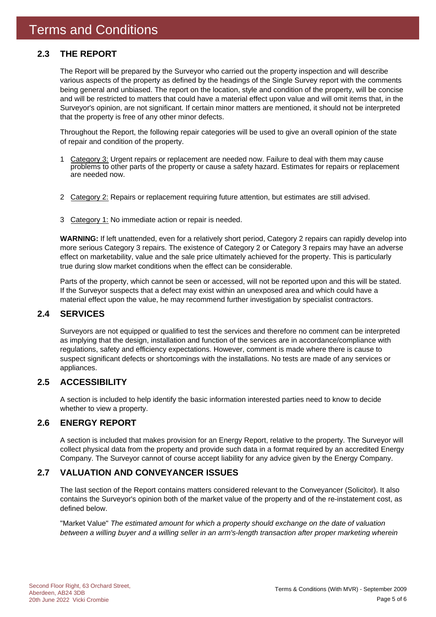### **2.3 THE REPORT**

The Report will be prepared by the Surveyor who carried out the property inspection and will describe various aspects of the property as defined by the headings of the Single Survey report with the comments being general and unbiased. The report on the location, style and condition of the property, will be concise and will be restricted to matters that could have a material effect upon value and will omit items that, in the Surveyor's opinion, are not significant. If certain minor matters are mentioned, it should not be interpreted that the property is free of any other minor defects.

Throughout the Report, the following repair categories will be used to give an overall opinion of the state of repair and condition of the property.

- 1 Category 3: Urgent repairs or replacement are needed now. Failure to deal with them may cause problems to other parts of the property or cause a safety hazard. Estimates for repairs or replacement are needed now.
- 2 Category 2: Repairs or replacement requiring future attention, but estimates are still advised.
- 3 Category 1: No immediate action or repair is needed.

**WARNING:** If left unattended, even for a relatively short period, Category 2 repairs can rapidly develop into more serious Category 3 repairs. The existence of Category 2 or Category 3 repairs may have an adverse effect on marketability, value and the sale price ultimately achieved for the property. This is particularly true during slow market conditions when the effect can be considerable.

Parts of the property, which cannot be seen or accessed, will not be reported upon and this will be stated. If the Surveyor suspects that a defect may exist within an unexposed area and which could have a material effect upon the value, he may recommend further investigation by specialist contractors.

### **2.4 SERVICES**

Surveyors are not equipped or qualified to test the services and therefore no comment can be interpreted as implying that the design, installation and function of the services are in accordance/compliance with regulations, safety and efficiency expectations. However, comment is made where there is cause to suspect significant defects or shortcomings with the installations. No tests are made of any services or appliances.

### **2.5 ACCESSIBILITY**

A section is included to help identify the basic information interested parties need to know to decide whether to view a property.

### **2.6 ENERGY REPORT**

A section is included that makes provision for an Energy Report, relative to the property. The Surveyor will collect physical data from the property and provide such data in a format required by an accredited Energy Company. The Surveyor cannot of course accept liability for any advice given by the Energy Company.

### **2.7 VALUATION AND CONVEYANCER ISSUES**

The last section of the Report contains matters considered relevant to the Conveyancer (Solicitor). It also contains the Surveyor's opinion both of the market value of the property and of the re-instatement cost, as defined below.

"Market Value" *The estimated amount for which a property should exchange on the date of valuation between a willing buyer and a willing seller in an arm's-length transaction after proper marketing wherein*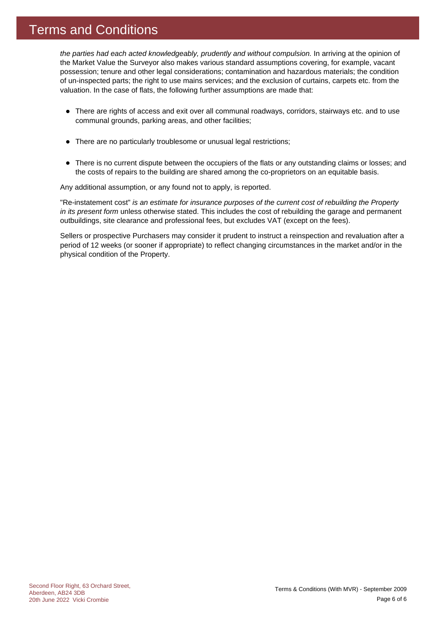### Terms and Conditions

*the parties had each acted knowledgeably, prudently and without compulsion.* In arriving at the opinion of the Market Value the Surveyor also makes various standard assumptions covering, for example, vacant possession; tenure and other legal considerations; contamination and hazardous materials; the condition of un-inspected parts; the right to use mains services; and the exclusion of curtains, carpets etc. from the valuation. In the case of flats, the following further assumptions are made that:

- There are rights of access and exit over all communal roadways, corridors, stairways etc. and to use communal grounds, parking areas, and other facilities;
- There are no particularly troublesome or unusual legal restrictions;
- There is no current dispute between the occupiers of the flats or any outstanding claims or losses; and the costs of repairs to the building are shared among the co-proprietors on an equitable basis.

Any additional assumption, or any found not to apply, is reported.

"Re-instatement cost" *is an estimate for insurance purposes of the current cost of rebuilding the Property in its present form* unless otherwise stated. This includes the cost of rebuilding the garage and permanent outbuildings, site clearance and professional fees, but excludes VAT (except on the fees).

Sellers or prospective Purchasers may consider it prudent to instruct a reinspection and revaluation after a period of 12 weeks (or sooner if appropriate) to reflect changing circumstances in the market and/or in the physical condition of the Property.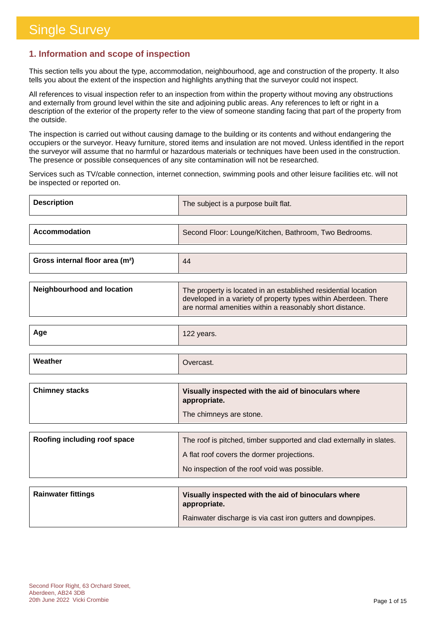### **1. Information and scope of inspection**

This section tells you about the type, accommodation, neighbourhood, age and construction of the property. It also tells you about the extent of the inspection and highlights anything that the surveyor could not inspect.

All references to visual inspection refer to an inspection from within the property without moving any obstructions and externally from ground level within the site and adjoining public areas. Any references to left or right in a description of the exterior of the property refer to the view of someone standing facing that part of the property from the outside.

The inspection is carried out without causing damage to the building or its contents and without endangering the occupiers or the surveyor. Heavy furniture, stored items and insulation are not moved. Unless identified in the report the surveyor will assume that no harmful or hazardous materials or techniques have been used in the construction. The presence or possible consequences of any site contamination will not be researched.

Services such as TV/cable connection, internet connection, swimming pools and other leisure facilities etc. will not be inspected or reported on.

| <b>Description</b>   | The subject is a purpose built flat.                  |
|----------------------|-------------------------------------------------------|
| <b>Accommodation</b> | Second Floor: Lounge/Kitchen, Bathroom, Two Bedrooms. |

| Gross internal floor area (m <sup>2</sup> ) | 44 |
|---------------------------------------------|----|
|                                             |    |

| <b>Neighbourhood and location</b> | The property is located in an established residential location<br>developed in a variety of property types within Aberdeen. There<br>are normal amenities within a reasonably short distance. |
|-----------------------------------|-----------------------------------------------------------------------------------------------------------------------------------------------------------------------------------------------|
|                                   |                                                                                                                                                                                               |

| Aar<br>- - - - - | 10 <sup>o</sup><br>$\sim$ $\sim$ $\sim$ $\sim$<br><b>IZZ years.</b> |
|------------------|---------------------------------------------------------------------|
|                  |                                                                     |

| Weather | Vercast. |
|---------|----------|
|         |          |

| <b>Chimney stacks</b> | Visually inspected with the aid of binoculars where<br>appropriate. |
|-----------------------|---------------------------------------------------------------------|
|                       | The chimneys are stone.                                             |

| Roofing including roof space | The roof is pitched, timber supported and clad externally in slates. |
|------------------------------|----------------------------------------------------------------------|
|                              | A flat roof covers the dormer projections.                           |
|                              | No inspection of the roof void was possible.                         |

| <b>Rainwater fittings</b> | Visually inspected with the aid of binoculars where<br>appropriate. |
|---------------------------|---------------------------------------------------------------------|
|                           | Rainwater discharge is via cast iron gutters and downpipes.         |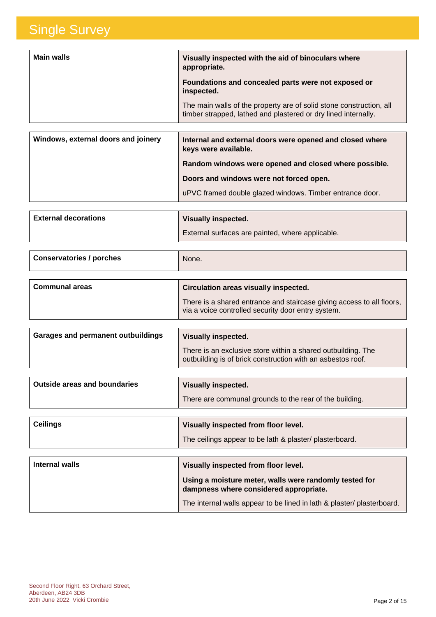| <b>Main walls</b> | Visually inspected with the aid of binoculars where<br>appropriate.                                                                   |
|-------------------|---------------------------------------------------------------------------------------------------------------------------------------|
|                   | Foundations and concealed parts were not exposed or<br>inspected.                                                                     |
|                   | The main walls of the property are of solid stone construction, all<br>timber strapped, lathed and plastered or dry lined internally. |
|                   |                                                                                                                                       |

| Windows, external doors and joinery | Internal and external doors were opened and closed where<br>keys were available. |
|-------------------------------------|----------------------------------------------------------------------------------|
|                                     | Random windows were opened and closed where possible.                            |
|                                     | Doors and windows were not forced open.                                          |
|                                     | uPVC framed double glazed windows. Timber entrance door.                         |

| <b>External decorations</b> | Visually inspected.                              |
|-----------------------------|--------------------------------------------------|
|                             | External surfaces are painted, where applicable. |

| Conservatories / porches | None. |
|--------------------------|-------|
|                          |       |

| <b>Communal areas</b> | <b>Circulation areas visually inspected.</b>                                                                                |
|-----------------------|-----------------------------------------------------------------------------------------------------------------------------|
|                       | There is a shared entrance and staircase giving access to all floors,<br>via a voice controlled security door entry system. |
|                       |                                                                                                                             |

| Garages and permanent outbuildings | <b>Visually inspected.</b>                                                                                                  |
|------------------------------------|-----------------------------------------------------------------------------------------------------------------------------|
|                                    | There is an exclusive store within a shared outbuilding. The<br>outbuilding is of brick construction with an asbestos roof. |

| Outside areas and boundaries | <b>Visually inspected.</b>                              |
|------------------------------|---------------------------------------------------------|
|                              | There are communal grounds to the rear of the building. |

| $\vert$ Ceilings | Visually inspected from floor level.                    |
|------------------|---------------------------------------------------------|
|                  | The ceilings appear to be lath & plaster/ plasterboard. |
|                  |                                                         |

| Internal walls | Visually inspected from floor level.                                                             |
|----------------|--------------------------------------------------------------------------------------------------|
|                | Using a moisture meter, walls were randomly tested for<br>dampness where considered appropriate. |
|                | The internal walls appear to be lined in lath & plaster/ plasterboard.                           |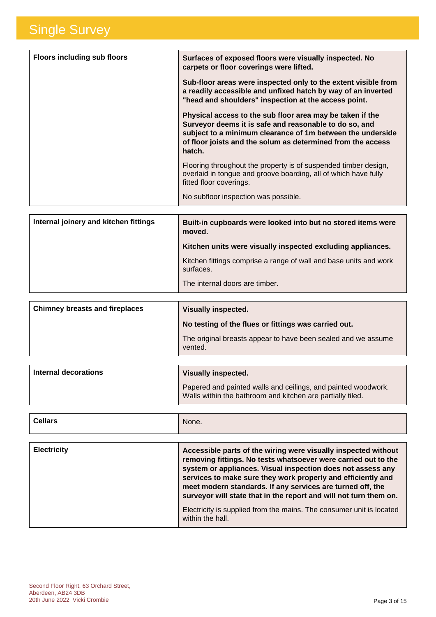| <b>Floors including sub floors</b> | Surfaces of exposed floors were visually inspected. No<br>carpets or floor coverings were lifted.                                                                                                                                                          |
|------------------------------------|------------------------------------------------------------------------------------------------------------------------------------------------------------------------------------------------------------------------------------------------------------|
|                                    | Sub-floor areas were inspected only to the extent visible from<br>a readily accessible and unfixed hatch by way of an inverted<br>"head and shoulders" inspection at the access point.                                                                     |
|                                    | Physical access to the sub floor area may be taken if the<br>Surveyor deems it is safe and reasonable to do so, and<br>subject to a minimum clearance of 1m between the underside<br>of floor joists and the solum as determined from the access<br>hatch. |
|                                    | Flooring throughout the property is of suspended timber design,<br>overlaid in tongue and groove boarding, all of which have fully<br>fitted floor coverings.                                                                                              |
|                                    | No subfloor inspection was possible.                                                                                                                                                                                                                       |

| Internal joinery and kitchen fittings | Built-in cupboards were looked into but no stored items were<br>moved.         |
|---------------------------------------|--------------------------------------------------------------------------------|
|                                       | Kitchen units were visually inspected excluding appliances.                    |
|                                       | Kitchen fittings comprise a range of wall and base units and work<br>surfaces. |
|                                       | The internal doors are timber.                                                 |
|                                       |                                                                                |

| <b>Chimney breasts and fireplaces</b> | Visually inspected.                                                      |
|---------------------------------------|--------------------------------------------------------------------------|
|                                       | No testing of the flues or fittings was carried out.                     |
|                                       | The original breasts appear to have been sealed and we assume<br>vented. |

| Internal decorations | Visually inspected.                                                                                                         |
|----------------------|-----------------------------------------------------------------------------------------------------------------------------|
|                      | Papered and painted walls and ceilings, and painted woodwork.<br>Walls within the bathroom and kitchen are partially tiled. |

| <b>Electricity</b> | Accessible parts of the wiring were visually inspected without<br>removing fittings. No tests whatsoever were carried out to the<br>system or appliances. Visual inspection does not assess any<br>services to make sure they work properly and efficiently and<br>meet modern standards. If any services are turned off, the<br>surveyor will state that in the report and will not turn them on.<br>Electricity is supplied from the mains. The consumer unit is located<br>within the hall. |
|--------------------|------------------------------------------------------------------------------------------------------------------------------------------------------------------------------------------------------------------------------------------------------------------------------------------------------------------------------------------------------------------------------------------------------------------------------------------------------------------------------------------------|
|--------------------|------------------------------------------------------------------------------------------------------------------------------------------------------------------------------------------------------------------------------------------------------------------------------------------------------------------------------------------------------------------------------------------------------------------------------------------------------------------------------------------------|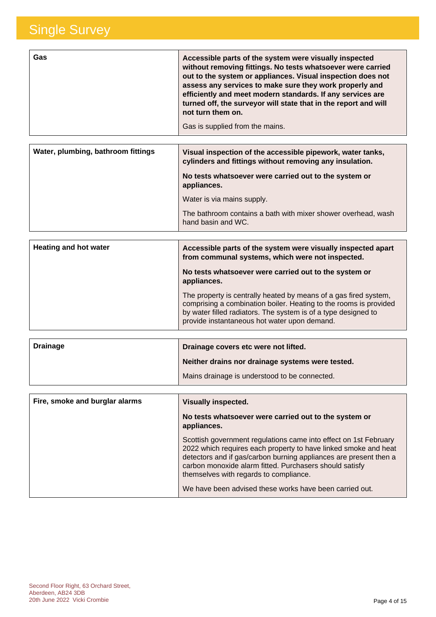| Gas | Accessible parts of the system were visually inspected<br>without removing fittings. No tests whatsoever were carried<br>out to the system or appliances. Visual inspection does not<br>assess any services to make sure they work properly and<br>efficiently and meet modern standards. If any services are<br>turned off, the surveyor will state that in the report and will<br>not turn them on.<br>Gas is supplied from the mains. |
|-----|------------------------------------------------------------------------------------------------------------------------------------------------------------------------------------------------------------------------------------------------------------------------------------------------------------------------------------------------------------------------------------------------------------------------------------------|
|     |                                                                                                                                                                                                                                                                                                                                                                                                                                          |

| Water, plumbing, bathroom fittings | Visual inspection of the accessible pipework, water tanks,<br>cylinders and fittings without removing any insulation. |
|------------------------------------|-----------------------------------------------------------------------------------------------------------------------|
|                                    | No tests whatsoever were carried out to the system or<br>appliances.                                                  |
|                                    | Water is via mains supply.                                                                                            |
|                                    | The bathroom contains a bath with mixer shower overhead, wash<br>hand basin and WC.                                   |

| <b>Heating and hot water</b> | Accessible parts of the system were visually inspected apart<br>from communal systems, which were not inspected.                                                                                                                                        |
|------------------------------|---------------------------------------------------------------------------------------------------------------------------------------------------------------------------------------------------------------------------------------------------------|
|                              | No tests whatsoever were carried out to the system or<br>appliances.                                                                                                                                                                                    |
|                              | The property is centrally heated by means of a gas fired system,<br>comprising a combination boiler. Heating to the rooms is provided<br>by water filled radiators. The system is of a type designed to<br>provide instantaneous hot water upon demand. |

| <b>Drainage</b> | Drainage covers etc were not lifted.             |
|-----------------|--------------------------------------------------|
|                 | Neither drains nor drainage systems were tested. |
|                 | Mains drainage is understood to be connected.    |

| Fire, smoke and burglar alarms | <b>Visually inspected.</b>                                                                                                                                                                                                                                                                                    |
|--------------------------------|---------------------------------------------------------------------------------------------------------------------------------------------------------------------------------------------------------------------------------------------------------------------------------------------------------------|
|                                | No tests whatsoever were carried out to the system or<br>appliances.                                                                                                                                                                                                                                          |
|                                | Scottish government regulations came into effect on 1st February<br>2022 which requires each property to have linked smoke and heat<br>detectors and if gas/carbon burning appliances are present then a<br>carbon monoxide alarm fitted. Purchasers should satisfy<br>themselves with regards to compliance. |
|                                | We have been advised these works have been carried out.                                                                                                                                                                                                                                                       |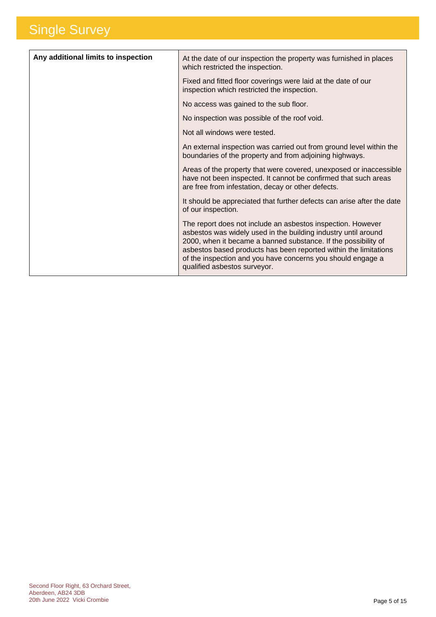| Any additional limits to inspection | At the date of our inspection the property was furnished in places<br>which restricted the inspection.                                                                                                                                                                                                                                                             |
|-------------------------------------|--------------------------------------------------------------------------------------------------------------------------------------------------------------------------------------------------------------------------------------------------------------------------------------------------------------------------------------------------------------------|
|                                     | Fixed and fitted floor coverings were laid at the date of our<br>inspection which restricted the inspection.                                                                                                                                                                                                                                                       |
|                                     | No access was gained to the sub floor.                                                                                                                                                                                                                                                                                                                             |
|                                     | No inspection was possible of the roof void.                                                                                                                                                                                                                                                                                                                       |
|                                     | Not all windows were tested.                                                                                                                                                                                                                                                                                                                                       |
|                                     | An external inspection was carried out from ground level within the<br>boundaries of the property and from adjoining highways.                                                                                                                                                                                                                                     |
|                                     | Areas of the property that were covered, unexposed or inaccessible<br>have not been inspected. It cannot be confirmed that such areas<br>are free from infestation, decay or other defects.                                                                                                                                                                        |
|                                     | It should be appreciated that further defects can arise after the date<br>of our inspection.                                                                                                                                                                                                                                                                       |
|                                     | The report does not include an asbestos inspection. However<br>asbestos was widely used in the building industry until around<br>2000, when it became a banned substance. If the possibility of<br>asbestos based products has been reported within the limitations<br>of the inspection and you have concerns you should engage a<br>qualified asbestos surveyor. |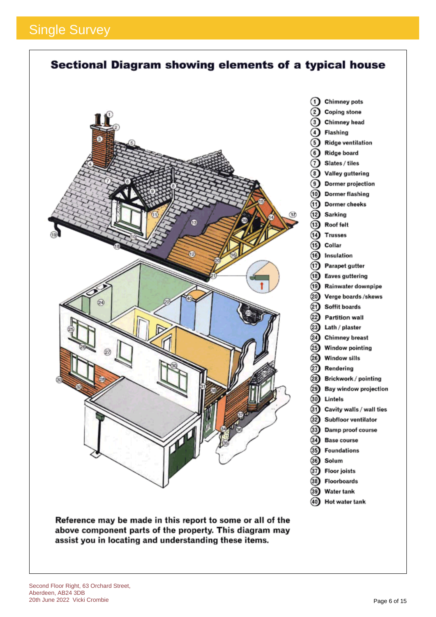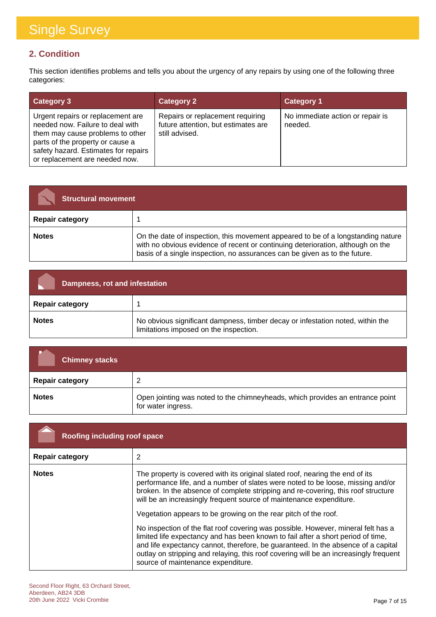### **2. Condition**

This section identifies problems and tells you about the urgency of any repairs by using one of the following three categories:

| <b>Category 3</b>                                                                                                                                                                                                       | <b>Category 2</b>                                                                         | <b>Category 1</b>                           |
|-------------------------------------------------------------------------------------------------------------------------------------------------------------------------------------------------------------------------|-------------------------------------------------------------------------------------------|---------------------------------------------|
| Urgent repairs or replacement are<br>needed now. Failure to deal with<br>them may cause problems to other<br>parts of the property or cause a<br>safety hazard. Estimates for repairs<br>or replacement are needed now. | Repairs or replacement requiring<br>future attention, but estimates are<br>still advised. | No immediate action or repair is<br>needed. |

| <b>Structural movement</b> |                                                                                                                                                                                                                                                   |
|----------------------------|---------------------------------------------------------------------------------------------------------------------------------------------------------------------------------------------------------------------------------------------------|
| <b>Repair category</b>     |                                                                                                                                                                                                                                                   |
| <b>Notes</b>               | On the date of inspection, this movement appeared to be of a longstanding nature<br>with no obvious evidence of recent or continuing deterioration, although on the<br>basis of a single inspection, no assurances can be given as to the future. |

| Dampness, rot and infestation |                                                                                                                          |
|-------------------------------|--------------------------------------------------------------------------------------------------------------------------|
| <b>Repair category</b>        |                                                                                                                          |
| <b>Notes</b>                  | No obvious significant dampness, timber decay or infestation noted, within the<br>limitations imposed on the inspection. |

| <b>Chimney stacks</b>  |                                                                                                     |
|------------------------|-----------------------------------------------------------------------------------------------------|
| <b>Repair category</b> | 2                                                                                                   |
| <b>Notes</b>           | Open jointing was noted to the chimneyheads, which provides an entrance point<br>for water ingress. |

| Roofing including roof space |                                                                                                                                                                                                                                                                                                                                                                                                                                                                                                                                                                                                                                                                                                                                                                                              |
|------------------------------|----------------------------------------------------------------------------------------------------------------------------------------------------------------------------------------------------------------------------------------------------------------------------------------------------------------------------------------------------------------------------------------------------------------------------------------------------------------------------------------------------------------------------------------------------------------------------------------------------------------------------------------------------------------------------------------------------------------------------------------------------------------------------------------------|
| <b>Repair category</b>       | 2                                                                                                                                                                                                                                                                                                                                                                                                                                                                                                                                                                                                                                                                                                                                                                                            |
| <b>Notes</b>                 | The property is covered with its original slated roof, nearing the end of its<br>performance life, and a number of slates were noted to be loose, missing and/or<br>broken. In the absence of complete stripping and re-covering, this roof structure<br>will be an increasingly frequent source of maintenance expenditure.<br>Vegetation appears to be growing on the rear pitch of the roof.<br>No inspection of the flat roof covering was possible. However, mineral felt has a<br>limited life expectancy and has been known to fail after a short period of time,<br>and life expectancy cannot, therefore, be guaranteed. In the absence of a capital<br>outlay on stripping and relaying, this roof covering will be an increasingly frequent<br>source of maintenance expenditure. |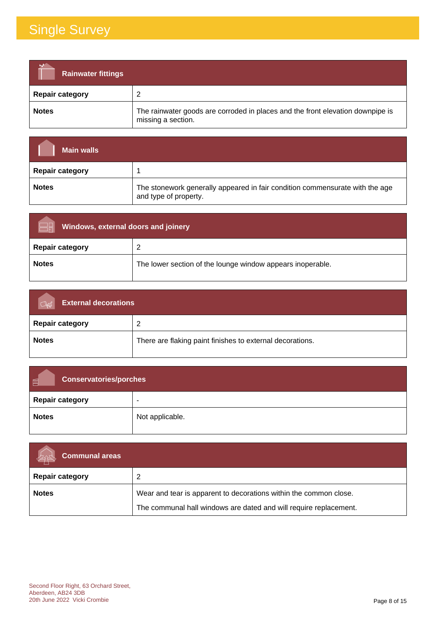| <b>Rainwater fittings</b> |                                                                                                      |
|---------------------------|------------------------------------------------------------------------------------------------------|
| <b>Repair category</b>    | ົ                                                                                                    |
| <b>Notes</b>              | The rainwater goods are corroded in places and the front elevation downpipe is<br>missing a section. |

| <b>Main walls</b>      |                                                                                                       |
|------------------------|-------------------------------------------------------------------------------------------------------|
| <b>Repair category</b> |                                                                                                       |
| <b>Notes</b>           | The stonework generally appeared in fair condition commensurate with the age<br>and type of property. |

| Windows, external doors and joinery |                                                            |
|-------------------------------------|------------------------------------------------------------|
| <b>Repair category</b>              | ົ                                                          |
| <b>Notes</b>                        | The lower section of the lounge window appears inoperable. |

| <b>External decorations</b><br>$\alpha$ |                                                           |
|-----------------------------------------|-----------------------------------------------------------|
| <b>Repair category</b>                  | ົ                                                         |
| <b>Notes</b>                            | There are flaking paint finishes to external decorations. |

| 画<br><b>Conservatories/porches</b> |                 |
|------------------------------------|-----------------|
| <b>Repair category</b>             | -               |
| <b>Notes</b>                       | Not applicable. |

| <b>Communal areas</b>  |                                                                   |
|------------------------|-------------------------------------------------------------------|
| <b>Repair category</b> |                                                                   |
| <b>Notes</b>           | Wear and tear is apparent to decorations within the common close. |
|                        | The communal hall windows are dated and will require replacement. |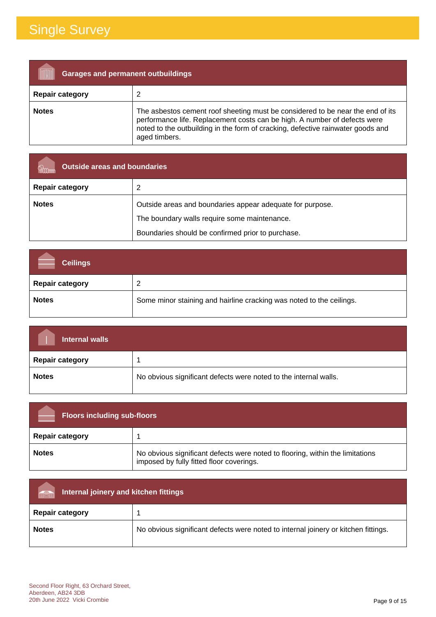| <b>Garages and permanent outbuildings</b> |                                                                                                                                                                                                                                                                 |
|-------------------------------------------|-----------------------------------------------------------------------------------------------------------------------------------------------------------------------------------------------------------------------------------------------------------------|
| <b>Repair category</b>                    |                                                                                                                                                                                                                                                                 |
| <b>Notes</b>                              | The asbestos cement roof sheeting must be considered to be near the end of its<br>performance life. Replacement costs can be high. A number of defects were<br>noted to the outbuilding in the form of cracking, defective rainwater goods and<br>aged timbers. |

| <b>Outside areas and boundaries</b> |                                                           |
|-------------------------------------|-----------------------------------------------------------|
| <b>Repair category</b>              |                                                           |
| <b>Notes</b>                        | Outside areas and boundaries appear adequate for purpose. |
|                                     | The boundary walls require some maintenance.              |
|                                     | Boundaries should be confirmed prior to purchase.         |

| <b>Ceilings</b>        |                                                                      |
|------------------------|----------------------------------------------------------------------|
| <b>Repair category</b> |                                                                      |
| <b>Notes</b>           | Some minor staining and hairline cracking was noted to the ceilings. |

| Internal walls         |                                                                  |
|------------------------|------------------------------------------------------------------|
| <b>Repair category</b> |                                                                  |
| <b>Notes</b>           | No obvious significant defects were noted to the internal walls. |

| <b>Floors including sub-floors</b> |                                                                                                                           |
|------------------------------------|---------------------------------------------------------------------------------------------------------------------------|
| <b>Repair category</b>             |                                                                                                                           |
| <b>Notes</b>                       | No obvious significant defects were noted to flooring, within the limitations<br>imposed by fully fitted floor coverings. |

| Internal joinery and kitchen fittings<br>man |                                                                                    |  |
|----------------------------------------------|------------------------------------------------------------------------------------|--|
| <b>Repair category</b>                       |                                                                                    |  |
| <b>Notes</b>                                 | No obvious significant defects were noted to internal joinery or kitchen fittings. |  |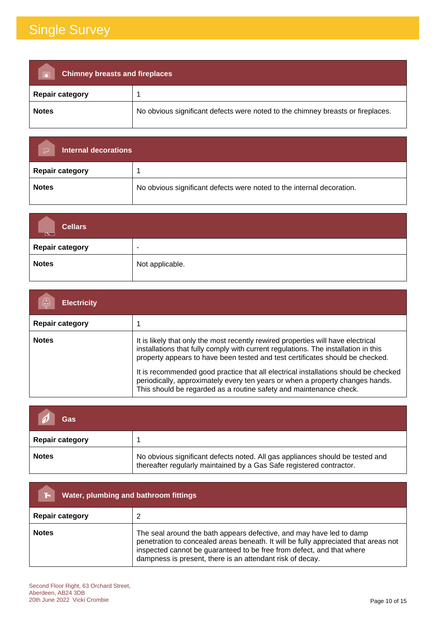| <b>Chimney breasts and fireplaces</b><br>$\overline{\blacksquare}$ |                                                                                 |  |
|--------------------------------------------------------------------|---------------------------------------------------------------------------------|--|
| <b>Repair category</b>                                             |                                                                                 |  |
| <b>Notes</b>                                                       | No obvious significant defects were noted to the chimney breasts or fireplaces. |  |

| <b>Internal decorations</b><br>$\overline{\smash{\sim}}$ |                                                                       |
|----------------------------------------------------------|-----------------------------------------------------------------------|
| <b>Repair category</b>                                   |                                                                       |
| <b>Notes</b>                                             | No obvious significant defects were noted to the internal decoration. |

| <b>Cellars</b><br>$\overline{\mathbb{N}}$ . |                          |
|---------------------------------------------|--------------------------|
| Repair category                             | $\overline{\phantom{0}}$ |
| <b>Notes</b>                                | Not applicable.          |

| <b>Electricity</b>     |                                                                                                                                                                                                                                                                                                                                                                                                                                                                                                       |
|------------------------|-------------------------------------------------------------------------------------------------------------------------------------------------------------------------------------------------------------------------------------------------------------------------------------------------------------------------------------------------------------------------------------------------------------------------------------------------------------------------------------------------------|
| <b>Repair category</b> |                                                                                                                                                                                                                                                                                                                                                                                                                                                                                                       |
| <b>Notes</b>           | It is likely that only the most recently rewired properties will have electrical<br>installations that fully comply with current regulations. The installation in this<br>property appears to have been tested and test certificates should be checked.<br>It is recommended good practice that all electrical installations should be checked<br>periodically, approximately every ten years or when a property changes hands.<br>This should be regarded as a routine safety and maintenance check. |

| Gas                    |                                                                                                                                                       |
|------------------------|-------------------------------------------------------------------------------------------------------------------------------------------------------|
| <b>Repair category</b> |                                                                                                                                                       |
| <b>Notes</b>           | No obvious significant defects noted. All gas appliances should be tested and<br>thereafter regularly maintained by a Gas Safe registered contractor. |

| Water, plumbing and bathroom fittings |                                                                                                                                                                                                                                                                                                   |
|---------------------------------------|---------------------------------------------------------------------------------------------------------------------------------------------------------------------------------------------------------------------------------------------------------------------------------------------------|
| <b>Repair category</b>                |                                                                                                                                                                                                                                                                                                   |
| <b>Notes</b>                          | The seal around the bath appears defective, and may have led to damp<br>penetration to concealed areas beneath. It will be fully appreciated that areas not<br>inspected cannot be guaranteed to be free from defect, and that where<br>dampness is present, there is an attendant risk of decay. |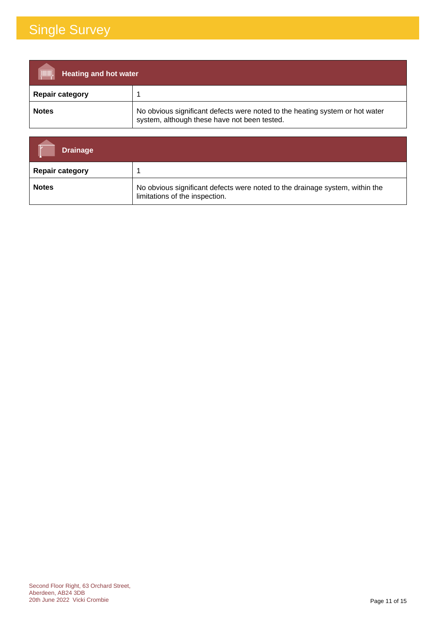| <b>TIMIN</b><br><b>Heating and hot water</b> |                                                                                                                              |
|----------------------------------------------|------------------------------------------------------------------------------------------------------------------------------|
| <b>Repair category</b>                       |                                                                                                                              |
| <b>Notes</b>                                 | No obvious significant defects were noted to the heating system or hot water<br>system, although these have not been tested. |

| <b>Drainage</b>        |                                                                                                                |
|------------------------|----------------------------------------------------------------------------------------------------------------|
| <b>Repair category</b> |                                                                                                                |
| <b>Notes</b>           | No obvious significant defects were noted to the drainage system, within the<br>limitations of the inspection. |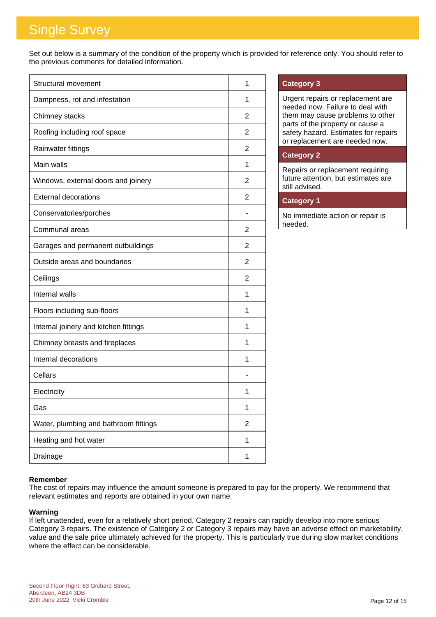Set out below is a summary of the condition of the property which is provided for reference only. You should refer to the previous comments for detailed information.

| Structural movement                   | 1              |
|---------------------------------------|----------------|
| Dampness, rot and infestation         | 1              |
| Chimney stacks                        | 2              |
| Roofing including roof space          | $\overline{2}$ |
| Rainwater fittings                    | $\overline{2}$ |
| Main walls                            | 1              |
| Windows, external doors and joinery   | 2              |
| <b>External decorations</b>           | $\overline{2}$ |
| Conservatories/porches                |                |
| Communal areas                        | 2              |
| Garages and permanent outbuildings    | $\overline{2}$ |
| Outside areas and boundaries          | 2              |
| Ceilings                              | 2              |
| Internal walls                        | 1              |
| Floors including sub-floors           | 1              |
| Internal joinery and kitchen fittings | 1              |
| Chimney breasts and fireplaces        | 1              |
| Internal decorations                  | 1              |
| Cellars                               |                |
| Electricity                           | 1              |
| Gas                                   | 1              |
| Water, plumbing and bathroom fittings | $\overline{2}$ |
| Heating and hot water                 | 1              |
| Drainage                              | 1              |

#### **Category 3**

Urgent repairs or replacement are needed now. Failure to deal with them may cause problems to other parts of the property or cause a safety hazard. Estimates for repairs or replacement are needed now.

#### **Category 2**

Repairs or replacement requiring future attention, but estimates are still advised.

### **Category 1**

No immediate action or repair is needed.

#### **Remember**

The cost of repairs may influence the amount someone is prepared to pay for the property. We recommend that relevant estimates and reports are obtained in your own name.

#### **Warning**

If left unattended, even for a relatively short period, Category 2 repairs can rapidly develop into more serious Category 3 repairs. The existence of Category 2 or Category 3 repairs may have an adverse effect on marketability, value and the sale price ultimately achieved for the property. This is particularly true during slow market conditions where the effect can be considerable.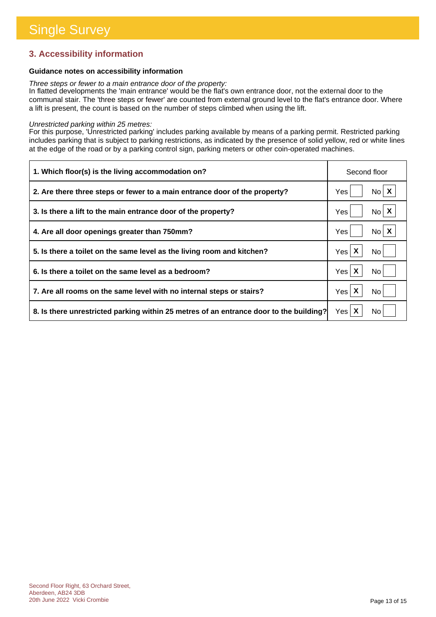### **3. Accessibility information**

#### **Guidance notes on accessibility information**

*Three steps or fewer to a main entrance door of the property:*

In flatted developments the 'main entrance' would be the flat's own entrance door, not the external door to the communal stair. The 'three steps or fewer' are counted from external ground level to the flat's entrance door. Where a lift is present, the count is based on the number of steps climbed when using the lift.

#### *Unrestricted parking within 25 metres:*

For this purpose, 'Unrestricted parking' includes parking available by means of a parking permit. Restricted parking includes parking that is subject to parking restrictions, as indicated by the presence of solid yellow, red or white lines at the edge of the road or by a parking control sign, parking meters or other coin-operated machines.

| 1. Which floor(s) is the living accommodation on?                                      | Second floor             |
|----------------------------------------------------------------------------------------|--------------------------|
| 2. Are there three steps or fewer to a main entrance door of the property?             | $N_0$ $X$<br>Yes         |
| 3. Is there a lift to the main entrance door of the property?                          | $No \mid X$<br>Yes       |
| 4. Are all door openings greater than 750mm?                                           | $N_0$ $X$<br>Yes         |
| 5. Is there a toilet on the same level as the living room and kitchen?                 | Yes $\mathsf{X}$<br>No l |
| 6. Is there a toilet on the same level as a bedroom?                                   | Yes X<br>No.             |
| 7. Are all rooms on the same level with no internal steps or stairs?                   | Yes $\mathsf{X}$<br>No   |
| 8. Is there unrestricted parking within 25 metres of an entrance door to the building? | Yes $\mathsf{X}$<br>No.  |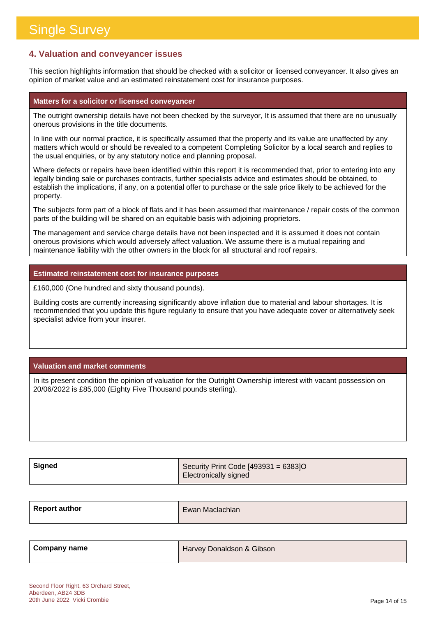### **4. Valuation and conveyancer issues**

This section highlights information that should be checked with a solicitor or licensed conveyancer. It also gives an opinion of market value and an estimated reinstatement cost for insurance purposes.

#### **Matters for a solicitor or licensed conveyancer**

The outright ownership details have not been checked by the surveyor, It is assumed that there are no unusually onerous provisions in the title documents.

In line with our normal practice, it is specifically assumed that the property and its value are unaffected by any matters which would or should be revealed to a competent Completing Solicitor by a local search and replies to the usual enquiries, or by any statutory notice and planning proposal.

Where defects or repairs have been identified within this report it is recommended that, prior to entering into any legally binding sale or purchases contracts, further specialists advice and estimates should be obtained, to establish the implications, if any, on a potential offer to purchase or the sale price likely to be achieved for the property.

The subjects form part of a block of flats and it has been assumed that maintenance / repair costs of the common parts of the building will be shared on an equitable basis with adjoining proprietors.

The management and service charge details have not been inspected and it is assumed it does not contain onerous provisions which would adversely affect valuation. We assume there is a mutual repairing and maintenance liability with the other owners in the block for all structural and roof repairs.

#### **Estimated reinstatement cost for insurance purposes**

£160,000 (One hundred and sixty thousand pounds).

Building costs are currently increasing significantly above inflation due to material and labour shortages. It is recommended that you update this figure regularly to ensure that you have adequate cover or alternatively seek specialist advice from your insurer.

#### **Valuation and market comments**

In its present condition the opinion of valuation for the Outright Ownership interest with vacant possession on 20/06/2022 is £85,000 (Eighty Five Thousand pounds sterling).

| Signed | Security Print Code [493931 = 6383]O |
|--------|--------------------------------------|
|        | <b>Electronically signed</b>         |

| <b>Report author</b> | Ewan Maclachlan |
|----------------------|-----------------|
|                      |                 |

| Company name | Harvey Donaldson & Gibson |
|--------------|---------------------------|
|              |                           |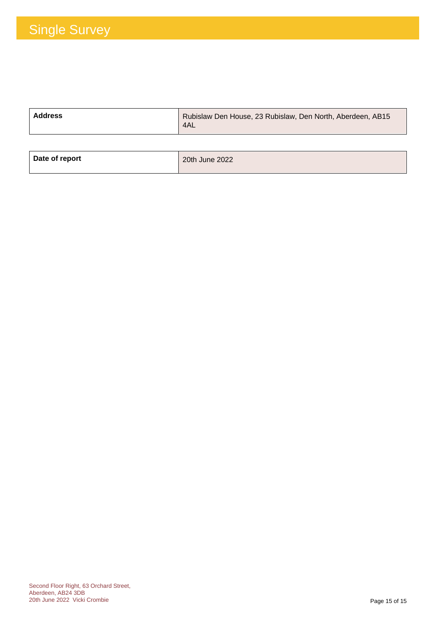| <b>Address</b> | Rubislaw Den House, 23 Rubislaw, Den North, Aberdeen, AB15<br>4AL |
|----------------|-------------------------------------------------------------------|
|                |                                                                   |

| Date of report | 20th June 2022 |
|----------------|----------------|
|                |                |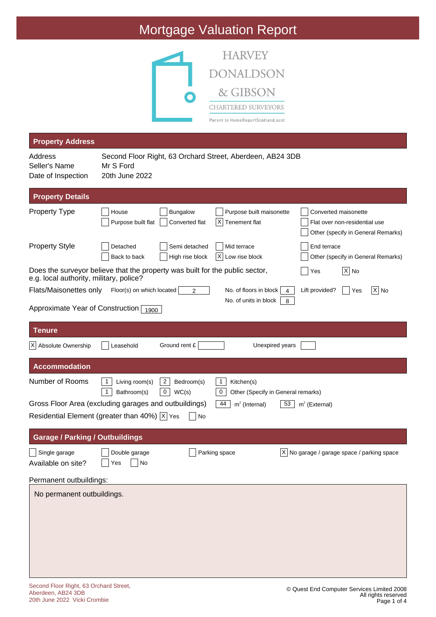

|                                                                                                                         |                                          |                                                      | Parent to HomeReportScotland.scot                                                    |                        |                                                                                             |
|-------------------------------------------------------------------------------------------------------------------------|------------------------------------------|------------------------------------------------------|--------------------------------------------------------------------------------------|------------------------|---------------------------------------------------------------------------------------------|
| <b>Property Address</b>                                                                                                 |                                          |                                                      |                                                                                      |                        |                                                                                             |
| Address<br>Seller's Name<br>Date of Inspection                                                                          | Mr S Ford<br>20th June 2022              |                                                      | Second Floor Right, 63 Orchard Street, Aberdeen, AB24 3DB                            |                        |                                                                                             |
| <b>Property Details</b>                                                                                                 |                                          |                                                      |                                                                                      |                        |                                                                                             |
| <b>Property Type</b>                                                                                                    | House<br>Purpose built flat              | Bungalow<br>Converted flat                           | Purpose built maisonette<br>Х<br>Tenement flat                                       |                        | Converted maisonette<br>Flat over non-residential use<br>Other (specify in General Remarks) |
| <b>Property Style</b>                                                                                                   | Detached<br>Back to back                 | Semi detached<br>High rise block                     | Mid terrace<br>ΧI<br>Low rise block                                                  | End terrace            | Other (specify in General Remarks)                                                          |
| Does the surveyor believe that the property was built for the public sector,<br>e.g. local authority, military, police? |                                          |                                                      |                                                                                      | Yes                    | $ X $ No                                                                                    |
| Flats/Maisonettes only                                                                                                  | Floor(s) on which located                | 2                                                    | No. of floors in block                                                               | Lift provided?         | X No<br>Yes                                                                                 |
| Approximate Year of Construction [                                                                                      | 1900                                     |                                                      | No. of units in block                                                                | 8                      |                                                                                             |
| <b>Tenure</b>                                                                                                           |                                          |                                                      |                                                                                      |                        |                                                                                             |
| X Absolute Ownership                                                                                                    | Leasehold                                | Ground rent £                                        | Unexpired years                                                                      |                        |                                                                                             |
| <b>Accommodation</b>                                                                                                    |                                          |                                                      |                                                                                      |                        |                                                                                             |
| Number of Rooms                                                                                                         | Living room(s)<br>1<br>Bathroom(s)<br>-1 | $\overline{2}$<br>Bedroom(s)<br>$\mathbf 0$<br>WC(s) | $\mathbf{1}$<br>Kitchen(s)<br>$\boldsymbol{0}$<br>Other (Specify in General remarks) |                        |                                                                                             |
| Gross Floor Area (excluding garages and outbuildings)                                                                   |                                          |                                                      | 44<br>$m2$ (Internal)                                                                | 53<br>$m^2$ (External) |                                                                                             |
| Residential Element (greater than 40%) $ \overline{x} $ Yes                                                             |                                          | No                                                   |                                                                                      |                        |                                                                                             |
| <b>Garage / Parking / Outbuildings</b>                                                                                  |                                          |                                                      |                                                                                      |                        |                                                                                             |
| Single garage<br>Available on site?                                                                                     | Double garage<br>No<br>Yes               |                                                      | Parking space                                                                        |                        | $\overline{X}$ No garage / garage space / parking space                                     |
| Permanent outbuildings:                                                                                                 |                                          |                                                      |                                                                                      |                        |                                                                                             |
| No permanent outbuildings.                                                                                              |                                          |                                                      |                                                                                      |                        |                                                                                             |
|                                                                                                                         |                                          |                                                      |                                                                                      |                        |                                                                                             |
|                                                                                                                         |                                          |                                                      |                                                                                      |                        |                                                                                             |
|                                                                                                                         |                                          |                                                      |                                                                                      |                        |                                                                                             |
|                                                                                                                         |                                          |                                                      |                                                                                      |                        |                                                                                             |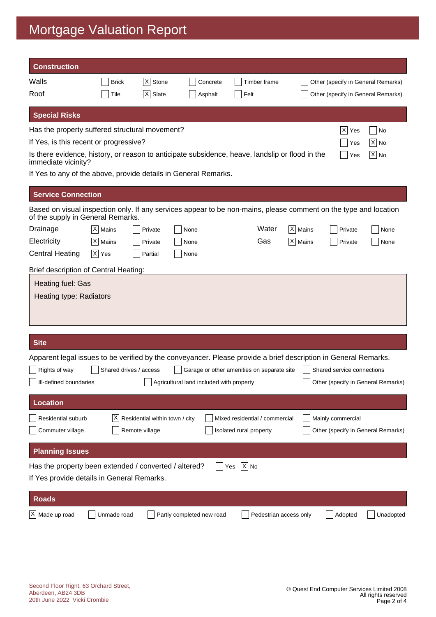| <b>Construction</b>                                                                                                                                   |                        |                                |                                          |                                            |                      |                                    |                                    |
|-------------------------------------------------------------------------------------------------------------------------------------------------------|------------------------|--------------------------------|------------------------------------------|--------------------------------------------|----------------------|------------------------------------|------------------------------------|
| Walls                                                                                                                                                 | <b>Brick</b>           | X <br>Stone                    | Concrete                                 | Timber frame                               |                      | Other (specify in General Remarks) |                                    |
| Roof                                                                                                                                                  | Tile                   | $ \mathsf{X} $<br>Slate        | Asphalt                                  | Felt                                       |                      | Other (specify in General Remarks) |                                    |
| <b>Special Risks</b>                                                                                                                                  |                        |                                |                                          |                                            |                      |                                    |                                    |
| Has the property suffered structural movement?                                                                                                        |                        |                                |                                          |                                            |                      | X <br>Yes                          | No                                 |
| If Yes, is this recent or progressive?                                                                                                                |                        |                                |                                          |                                            |                      | Yes                                | $ X $ No                           |
| Is there evidence, history, or reason to anticipate subsidence, heave, landslip or flood in the<br>immediate vicinity?                                |                        |                                |                                          |                                            |                      | Yes                                | $ X $ No                           |
| If Yes to any of the above, provide details in General Remarks.                                                                                       |                        |                                |                                          |                                            |                      |                                    |                                    |
| <b>Service Connection</b>                                                                                                                             |                        |                                |                                          |                                            |                      |                                    |                                    |
| Based on visual inspection only. If any services appear to be non-mains, please comment on the type and location<br>of the supply in General Remarks. |                        |                                |                                          |                                            |                      |                                    |                                    |
| Drainage                                                                                                                                              | $ X $ Mains            | Private                        | None                                     | Water                                      | X   Mains            | Private                            | None                               |
| Electricity                                                                                                                                           | $ X $ Mains            | Private                        | None                                     | Gas                                        | $ \mathsf{X} $ Mains | Private                            | None                               |
| <b>Central Heating</b>                                                                                                                                | $ \overline{X} $ Yes   | Partial                        | None                                     |                                            |                      |                                    |                                    |
| Brief description of Central Heating:                                                                                                                 |                        |                                |                                          |                                            |                      |                                    |                                    |
| Heating fuel: Gas<br>Heating type: Radiators                                                                                                          |                        |                                |                                          |                                            |                      |                                    |                                    |
| <b>Site</b>                                                                                                                                           |                        |                                |                                          |                                            |                      |                                    |                                    |
| Apparent legal issues to be verified by the conveyancer. Please provide a brief description in General Remarks.                                       |                        |                                |                                          |                                            |                      |                                    |                                    |
| Rights of way                                                                                                                                         | Shared drives / access |                                |                                          | Garage or other amenities on separate site |                      | Shared service connections         |                                    |
| Ill-defined boundaries                                                                                                                                |                        |                                | Agricultural land included with property |                                            |                      |                                    | Other (specify in General Remarks) |
| <b>Location</b>                                                                                                                                       |                        |                                |                                          |                                            |                      |                                    |                                    |
| Residential suburb                                                                                                                                    | ΧI                     | Residential within town / city |                                          | Mixed residential / commercial             |                      | Mainly commercial                  |                                    |
| Commuter village                                                                                                                                      |                        | Remote village                 |                                          | Isolated rural property                    |                      |                                    | Other (specify in General Remarks) |
| <b>Planning Issues</b>                                                                                                                                |                        |                                |                                          |                                            |                      |                                    |                                    |
| Has the property been extended / converted / altered?                                                                                                 |                        |                                |                                          | $\overline{X}$ No<br>Yes                   |                      |                                    |                                    |
| If Yes provide details in General Remarks.                                                                                                            |                        |                                |                                          |                                            |                      |                                    |                                    |
| <b>Roads</b>                                                                                                                                          |                        |                                |                                          |                                            |                      |                                    |                                    |
| $X$ Made up road                                                                                                                                      | Unmade road            |                                | Partly completed new road                | Pedestrian access only                     |                      | Adopted                            | Unadopted                          |
|                                                                                                                                                       |                        |                                |                                          |                                            |                      |                                    |                                    |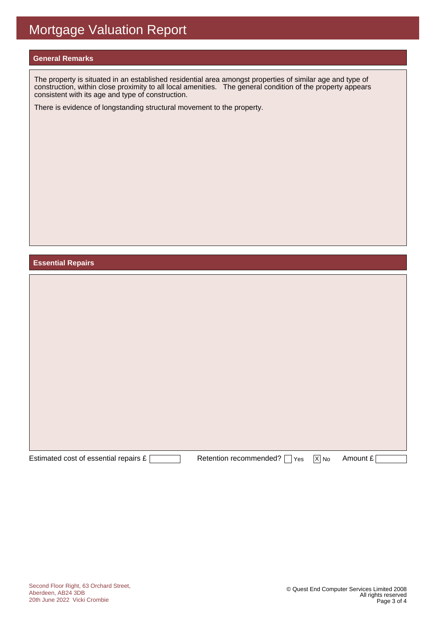#### **General Remarks**

The property is situated in an established residential area amongst properties of similar age and type of construction, within close proximity to all local amenities. The general condition of the property appears consistent with its age and type of construction.

There is evidence of longstanding structural movement to the property.

#### **Essential Repairs**

| Estimated cost of essential repairs £ | Retention recommended? [<br>Yes | $\overline{X}$ No | Amount £ |  |
|---------------------------------------|---------------------------------|-------------------|----------|--|